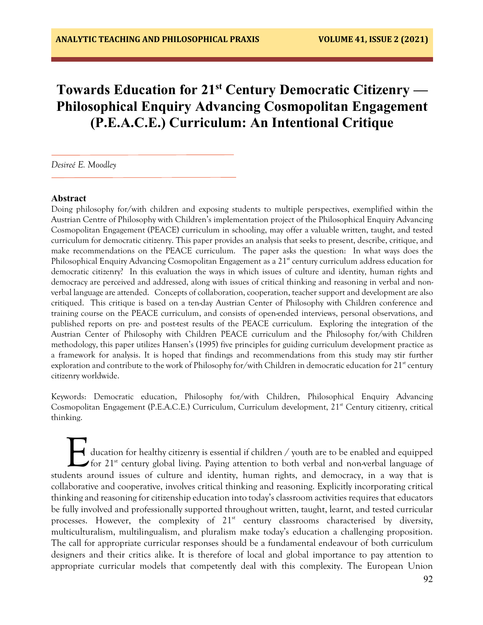# **Towards Education for 21st Century Democratic Citizenry — Philosophical Enquiry Advancing Cosmopolitan Engagement (P.E.A.C.E.) Curriculum: An Intentional Critique**

*Desireé E. Moodley* 

#### **Abstract**

Doing philosophy for/with children and exposing students to multiple perspectives, exemplified within the Austrian Centre of Philosophy with Children's implementation project of the Philosophical Enquiry Advancing Cosmopolitan Engagement (PEACE) curriculum in schooling, may offer a valuable written, taught, and tested curriculum for democratic citizenry. This paper provides an analysis that seeks to present, describe, critique, and make recommendations on the PEACE curriculum. The paper asks the question: In what ways does the Philosophical Enquiry Advancing Cosmopolitan Engagement as a 21<sup>st</sup> century curriculum address education for democratic citizenry? In this evaluation the ways in which issues of culture and identity, human rights and democracy are perceived and addressed, along with issues of critical thinking and reasoning in verbal and nonverbal language are attended. Concepts of collaboration, cooperation, teacher support and development are also critiqued. This critique is based on a ten-day Austrian Center of Philosophy with Children conference and training course on the PEACE curriculum, and consists of open-ended interviews, personal observations, and published reports on pre- and post-test results of the PEACE curriculum. Exploring the integration of the Austrian Center of Philosophy with Children PEACE curriculum and the Philosophy for/with Children methodology, this paper utilizes Hansen's (1995) five principles for guiding curriculum development practice as a framework for analysis. It is hoped that findings and recommendations from this study may stir further exploration and contribute to the work of Philosophy for/with Children in democratic education for  $21^{st}$  century citizenry worldwide.

Keywords: Democratic education, Philosophy for/with Children, Philosophical Enquiry Advancing Cosmopolitan Engagement (P.E.A.C.E.) Curriculum, Curriculum development, 21<sup>st</sup> Century citizenry, critical thinking.

ducation for healthy citizenry is essential if children / youth are to be enabled and equipped for 21<sup>st</sup> century global living. Paying attention to both verbal and non-verbal language of students around issues of culture and identity, human rights, and democracy, in a way that is collaborative and cooperative, involves critical thinking and reasoning. Explicitly incorporating critical thinking and reasoning for citizenship education into today's classroom activities requires that educators be fully involved and professionally supported throughout written, taught, learnt, and tested curricular processes. However, the complexity of  $21<sup>st</sup>$  century classrooms characterised by diversity, multiculturalism, multilingualism, and pluralism make today's education a challenging proposition. The call for appropriate curricular responses should be a fundamental endeavour of both curriculum designers and their critics alike. It is therefore of local and global importance to pay attention to appropriate curricular models that competently deal with this complexity. The European Union E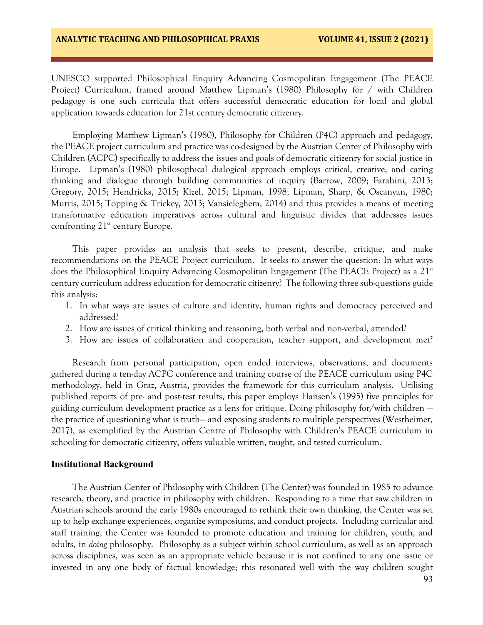UNESCO supported Philosophical Enquiry Advancing Cosmopolitan Engagement (The PEACE Project) Curriculum, framed around Matthew Lipman's (1980) Philosophy for / with Children pedagogy is one such curricula that offers successful democratic education for local and global application towards education for 21st century democratic citizenry.

Employing Matthew Lipman's (1980), Philosophy for Children (P4C) approach and pedagogy, the PEACE project curriculum and practice was co-designed by the Austrian Center of Philosophy with Children (ACPC) specifically to address the issues and goals of democratic citizenry for social justice in Europe. Lipman's (1980) philosophical dialogical approach employs critical, creative, and caring thinking and dialogue through building communities of inquiry (Barrow, 2009; Farahini, 2013; Gregory, 2015; Hendricks, 2015; Kizel, 2015; Lipman, 1998; Lipman, Sharp, & Oscanyan, 1980; Murris, 2015; Topping & Trickey, 2013; Vansieleghem, 2014) and thus provides a means of meeting transformative education imperatives across cultural and linguistic divides that addresses issues confronting  $21^{st}$  century Europe.

This paper provides an analysis that seeks to present, describe, critique, and make recommendations on the PEACE Project curriculum. It seeks to answer the question: In what ways does the Philosophical Enquiry Advancing Cosmopolitan Engagement (The PEACE Project) as a 21<sup>st</sup> century curriculum address education for democratic citizenry? The following three sub-questions guide this analysis:

- 1. In what ways are issues of culture and identity, human rights and democracy perceived and addressed?
- 2. How are issues of critical thinking and reasoning, both verbal and non-verbal, attended?
- 3. How are issues of collaboration and cooperation, teacher support, and development met?

Research from personal participation, open ended interviews, observations, and documents gathered during a ten-day ACPC conference and training course of the PEACE curriculum using P4C methodology, held in Graz, Austria, provides the framework for this curriculum analysis. Utilising published reports of pre- and post-test results, this paper employs Hansen's (1995) five principles for guiding curriculum development practice as a lens for critique. Doing philosophy for/with children the practice of questioning what is truth— and exposing students to multiple perspectives (Westheimer, 2017), as exemplified by the Austrian Centre of Philosophy with Children's PEACE curriculum in schooling for democratic citizenry, offers valuable written, taught, and tested curriculum.

#### **Institutional Background**

The Austrian Center of Philosophy with Children (The Center) was founded in 1985 to advance research, theory, and practice in philosophy with children. Responding to a time that saw children in Austrian schools around the early 1980s encouraged to rethink their own thinking, the Center was set up to help exchange experiences, organize symposiums, and conduct projects. Including curricular and staff training, the Center was founded to promote education and training for children, youth, and adults, in *doing* philosophy. Philosophy as a subject within school curriculum, as well as an approach across disciplines, was seen as an appropriate vehicle because it is not confined to any one issue or invested in any one body of factual knowledge; this resonated well with the way children sought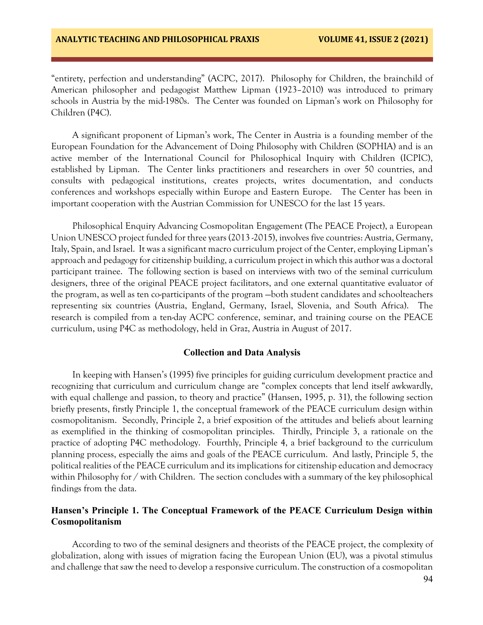"entirety, perfection and understanding" (ACPC, 2017). Philosophy for Children, the brainchild of American philosopher and pedagogist Matthew Lipman (1923–2010) was introduced to primary schools in Austria by the mid-1980s. The Center was founded on Lipman's work on Philosophy for Children (P4C).

A significant proponent of Lipman's work, The Center in Austria is a founding member of the European Foundation for the Advancement of Doing Philosophy with Children (SOPHIA) and is an active member of the International Council for Philosophical Inquiry with Children (ICPIC), established by Lipman. The Center links practitioners and researchers in over 50 countries, and consults with pedagogical institutions, creates projects, writes documentation, and conducts conferences and workshops especially within Europe and Eastern Europe. The Center has been in important cooperation with the Austrian Commission for UNESCO for the last 15 years.

Philosophical Enquiry Advancing Cosmopolitan Engagement (The PEACE Project), a European Union UNESCO project funded for three years (2013 -2015), involves five countries: Austria, Germany, Italy, Spain, and Israel. It was a significant macro curriculum project of the Center, employing Lipman's approach and pedagogy for citizenship building, a curriculum project in which this author was a doctoral participant trainee. The following section is based on interviews with two of the seminal curriculum designers, three of the original PEACE project facilitators, and one external quantitative evaluator of the program, as well as ten co-participants of the program —both student candidates and schoolteachers representing six countries (Austria, England, Germany, Israel, Slovenia, and South Africa). The research is compiled from a ten-day ACPC conference, seminar, and training course on the PEACE curriculum, using P4C as methodology, held in Graz, Austria in August of 2017.

#### **Collection and Data Analysis**

In keeping with Hansen's (1995) five principles for guiding curriculum development practice and recognizing that curriculum and curriculum change are "complex concepts that lend itself awkwardly, with equal challenge and passion, to theory and practice" (Hansen, 1995, p. 31), the following section briefly presents, firstly Principle 1, the conceptual framework of the PEACE curriculum design within cosmopolitanism. Secondly, Principle 2, a brief exposition of the attitudes and beliefs about learning as exemplified in the thinking of cosmopolitan principles. Thirdly, Principle 3, a rationale on the practice of adopting P4C methodology. Fourthly, Principle 4, a brief background to the curriculum planning process, especially the aims and goals of the PEACE curriculum. And lastly, Principle 5, the political realities of the PEACE curriculum and its implications for citizenship education and democracy within Philosophy for / with Children. The section concludes with a summary of the key philosophical findings from the data.

## **Hansen's Principle 1. The Conceptual Framework of the PEACE Curriculum Design within Cosmopolitanism**

According to two of the seminal designers and theorists of the PEACE project, the complexity of globalization, along with issues of migration facing the European Union (EU), was a pivotal stimulus and challenge that saw the need to develop a responsive curriculum. The construction of a cosmopolitan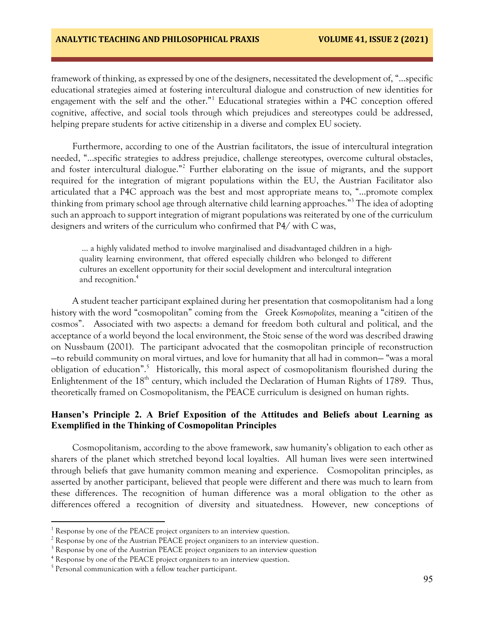## **ANALYTIC TEACHING AND PHILOSOPHICAL PRAXIS VOLUME 41, ISSUE 2 (2021)**

framework of thinking, as expressed by one of the designers, necessitated the development of, "…specific educational strategies aimed at fostering intercultural dialogue and construction of new identities for engagement with the self and the other."<sup>1</sup> Educational strategies within a P4C conception offered cognitive, affective, and social tools through which prejudices and stereotypes could be addressed, helping prepare students for active citizenship in a diverse and complex EU society.

Furthermore, according to one of the Austrian facilitators, the issue of intercultural integration needed, "…specific strategies to address prejudice, challenge stereotypes, overcome cultural obstacles, and foster intercultural dialogue."<sup>2</sup> Further elaborating on the issue of migrants, and the support required for the integration of migrant populations within the EU, the Austrian Facilitator also articulated that a P4C approach was the best and most appropriate means to, "…promote complex thinking from primary school age through alternative child learning approaches."<sup>3</sup> The idea of adopting such an approach to support integration of migrant populations was reiterated by one of the curriculum designers and writers of the curriculum who confirmed that P4/ with C was,

… a highly validated method to involve marginalised and disadvantaged children in a highquality learning environment, that offered especially children who belonged to different cultures an excellent opportunity for their social development and intercultural integration and recognition. 4

A student teacher participant explained during her presentation that cosmopolitanism had a long history with the word "cosmopolitan" coming from the Greek *Kosmopolites,* meaning a "citizen of the cosmos". Associated with two aspects: a demand for freedom both cultural and political, and the acceptance of a world beyond the local environment, the Stoic sense of the word was described drawing on Nussbaum (2001). The participant advocated that the cosmopolitan principle of reconstruction —to rebuild community on moral virtues, and love for humanity that all had in common— "was a moral obligation of education".<sup>5</sup> Historically, this moral aspect of cosmopolitanism flourished during the Enlightenment of the  $18<sup>th</sup>$  century, which included the Declaration of Human Rights of 1789. Thus, theoretically framed on Cosmopolitanism, the PEACE curriculum is designed on human rights.

## **Hansen's Principle 2. A Brief Exposition of the Attitudes and Beliefs about Learning as Exemplified in the Thinking of Cosmopolitan Principles**

Cosmopolitanism, according to the above framework, saw humanity's obligation to each other as sharers of the planet which stretched beyond local loyalties. All human lives were seen intertwined through beliefs that gave humanity common meaning and experience. Cosmopolitan principles, as asserted by another participant, believed that people were different and there was much to learn from these differences. The recognition of human difference was a moral obligation to the other as differences offered a recognition of diversity and situatedness. However, new conceptions of

 $\overline{a}$ 

 $1$  Response by one of the PEACE project organizers to an interview question.

 $2$  Response by one of the Austrian PEACE project organizers to an interview question.

 $3$  Response by one of the Austrian PEACE project organizers to an interview question

<sup>&</sup>lt;sup>4</sup> Response by one of the PEACE project organizers to an interview question.

<sup>&</sup>lt;sup>5</sup> Personal communication with a fellow teacher participant.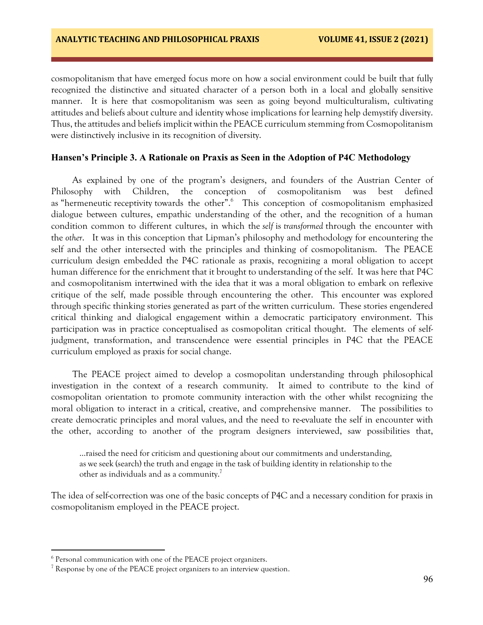cosmopolitanism that have emerged focus more on how a social environment could be built that fully recognized the distinctive and situated character of a person both in a local and globally sensitive manner. It is here that cosmopolitanism was seen as going beyond multiculturalism, cultivating attitudes and beliefs about culture and identity whose implications for learning help demystify diversity. Thus, the attitudes and beliefs implicit within the PEACE curriculum stemming from Cosmopolitanism were distinctively inclusive in its recognition of diversity.

## **Hansen's Principle 3. A Rationale on Praxis as Seen in the Adoption of P4C Methodology**

As explained by one of the program's designers, and founders of the Austrian Center of Philosophy with Children, the conception of cosmopolitanism was best defined as "hermeneutic receptivity towards the other".<sup>6</sup> This conception of cosmopolitanism emphasized dialogue between cultures, empathic understanding of the other, and the recognition of a human condition common to different cultures, in which the *self* is *transformed* through the encounter with the *other*. It was in this conception that Lipman's philosophy and methodology for encountering the self and the other intersected with the principles and thinking of cosmopolitanism. The PEACE curriculum design embedded the P4C rationale as praxis, recognizing a moral obligation to accept human difference for the enrichment that it brought to understanding of the self. It was here that P4C and cosmopolitanism intertwined with the idea that it was a moral obligation to embark on reflexive critique of the self, made possible through encountering the other. This encounter was explored through specific thinking stories generated as part of the written curriculum. These stories engendered critical thinking and dialogical engagement within a democratic participatory environment. This participation was in practice conceptualised as cosmopolitan critical thought. The elements of selfjudgment, transformation, and transcendence were essential principles in P4C that the PEACE curriculum employed as praxis for social change.

The PEACE project aimed to develop a cosmopolitan understanding through philosophical investigation in the context of a research community. It aimed to contribute to the kind of cosmopolitan orientation to promote community interaction with the other whilst recognizing the moral obligation to interact in a critical, creative, and comprehensive manner. The possibilities to create democratic principles and moral values, and the need to re-evaluate the self in encounter with the other, according to another of the program designers interviewed, saw possibilities that,

…raised the need for criticism and questioning about our commitments and understanding, as we seek (search) the truth and engage in the task of building identity in relationship to the other as individuals and as a community.<sup>7</sup>

The idea of self-correction was one of the basic concepts of P4C and a necessary condition for praxis in cosmopolitanism employed in the PEACE project.

 $\overline{a}$ 

<sup>&</sup>lt;sup>6</sup> Personal communication with one of the PEACE project organizers.

 $7$  Response by one of the PEACE project organizers to an interview question.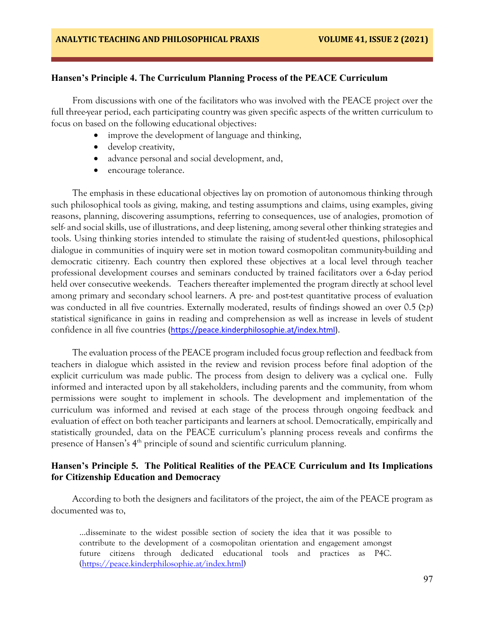# **Hansen's Principle 4. The Curriculum Planning Process of the PEACE Curriculum**

From discussions with one of the facilitators who was involved with the PEACE project over the full three-year period, each participating country was given specific aspects of the written curriculum to focus on based on the following educational objectives:

- improve the development of language and thinking,
- develop creativity,
- advance personal and social development, and,
- encourage tolerance.

The emphasis in these educational objectives lay on promotion of autonomous thinking through such philosophical tools as giving, making, and testing assumptions and claims, using examples, giving reasons, planning, discovering assumptions, referring to consequences, use of analogies, promotion of self- and social skills, use of illustrations, and deep listening, among several other thinking strategies and tools. Using thinking stories intended to stimulate the raising of student-led questions, philosophical dialogue in communities of inquiry were set in motion toward cosmopolitan community-building and democratic citizenry. Each country then explored these objectives at a local level through teacher professional development courses and seminars conducted by trained facilitators over a 6-day period held over consecutive weekends. Teachers thereafter implemented the program directly at school level among primary and secondary school learners. A pre- and post-test quantitative process of evaluation was conducted in all five countries. Externally moderated, results of findings showed an over 0.5 (≥*p*) statistical significance in gains in reading and comprehension as well as increase in levels of student confidence in all five countries [\(https://peace.kinderphilosophie.at/index.html\)](https://nam02.safelinks.protection.outlook.com/?url=https%3A%2F%2Fpeace.kinderphilosophie.at%2Findex.html&data=04%7C01%7Cjjhoward%40viterbo.edu%7C623c87ad4ece4457984b08d9be458e98%7C6b9fc982e8d74958976cb08441cc9b0b%7C0%7C0%7C637750028218343343%7CUnknown%7CTWFpbGZsb3d8eyJWIjoiMC4wLjAwMDAiLCJQIjoiV2luMzIiLCJBTiI6Ik1haWwiLCJXVCI6Mn0%3D%7C3000&sdata=nfzftkEOk0Xa%2F%2Bor5Bn7R1IThv7vY0MVOWvPY%2Fcfu10%3D&reserved=0).

The evaluation process of the PEACE program included focus group reflection and feedback from teachers in dialogue which assisted in the review and revision process before final adoption of the explicit curriculum was made public. The process from design to delivery was a cyclical one. Fully informed and interacted upon by all stakeholders, including parents and the community, from whom permissions were sought to implement in schools. The development and implementation of the curriculum was informed and revised at each stage of the process through ongoing feedback and evaluation of effect on both teacher participants and learners at school. Democratically, empirically and statistically grounded, data on the PEACE curriculum's planning process reveals and confirms the presence of Hansen's 4<sup>th</sup> principle of sound and scientific curriculum planning.

# **Hansen's Principle 5. The Political Realities of the PEACE Curriculum and Its Implications for Citizenship Education and Democracy**

According to both the designers and facilitators of the project, the aim of the PEACE program as documented was to,

…disseminate to the widest possible section of society the idea that it was possible to contribute to the development of a cosmopolitan orientation and engagement amongst future citizens through dedicated educational tools and practices as P4C. [\(https://peace.kinderphilosophie.at/index.html\)](https://peace.kinderphilosophie.at/index.html)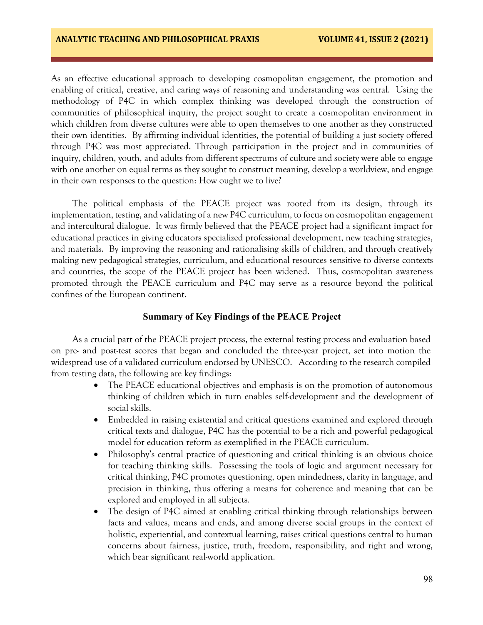As an effective educational approach to developing cosmopolitan engagement, the promotion and enabling of critical, creative, and caring ways of reasoning and understanding was central. Using the methodology of P4C in which complex thinking was developed through the construction of communities of philosophical inquiry, the project sought to create a cosmopolitan environment in which children from diverse cultures were able to open themselves to one another as they constructed their own identities. By affirming individual identities, the potential of building a just society offered through P4C was most appreciated. Through participation in the project and in communities of inquiry, children, youth, and adults from different spectrums of culture and society were able to engage with one another on equal terms as they sought to construct meaning, develop a worldview, and engage in their own responses to the question: How ought we to live?

The political emphasis of the PEACE project was rooted from its design, through its implementation, testing, and validating of a new P4C curriculum, to focus on cosmopolitan engagement and intercultural dialogue. It was firmly believed that the PEACE project had a significant impact for educational practices in giving educators specialized professional development, new teaching strategies, and materials. By improving the reasoning and rationalising skills of children, and through creatively making new pedagogical strategies, curriculum, and educational resources sensitive to diverse contexts and countries, the scope of the PEACE project has been widened. Thus, cosmopolitan awareness promoted through the PEACE curriculum and P4C may serve as a resource beyond the political confines of the European continent.

## **Summary of Key Findings of the PEACE Project**

As a crucial part of the PEACE project process, the external testing process and evaluation based on pre- and post-test scores that began and concluded the three-year project, set into motion the widespread use of a validated curriculum endorsed by UNESCO. According to the research compiled from testing data, the following are key findings:

- The PEACE educational objectives and emphasis is on the promotion of autonomous thinking of children which in turn enables self-development and the development of social skills.
- Embedded in raising existential and critical questions examined and explored through critical texts and dialogue, P4C has the potential to be a rich and powerful pedagogical model for education reform as exemplified in the PEACE curriculum.
- Philosophy's central practice of questioning and critical thinking is an obvious choice for teaching thinking skills. Possessing the tools of logic and argument necessary for critical thinking, P4C promotes questioning, open mindedness, clarity in language, and precision in thinking, thus offering a means for coherence and meaning that can be explored and employed in all subjects.
- The design of P4C aimed at enabling critical thinking through relationships between facts and values, means and ends, and among diverse social groups in the context of holistic, experiential, and contextual learning, raises critical questions central to human concerns about fairness, justice, truth, freedom, responsibility, and right and wrong, which bear significant real-world application.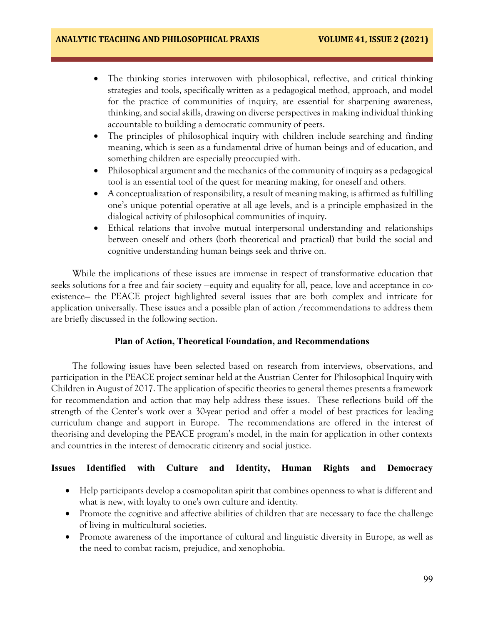- The thinking stories interwoven with philosophical, reflective, and critical thinking strategies and tools, specifically written as a pedagogical method, approach, and model for the practice of communities of inquiry, are essential for sharpening awareness, thinking, and social skills, drawing on diverse perspectives in making individual thinking accountable to building a democratic community of peers.
- The principles of philosophical inquiry with children include searching and finding meaning, which is seen as a fundamental drive of human beings and of education, and something children are especially preoccupied with.
- Philosophical argument and the mechanics of the community of inquiry as a pedagogical tool is an essential tool of the quest for meaning making, for oneself and others.
- A conceptualization of responsibility, a result of meaning making, is affirmed as fulfilling one's unique potential operative at all age levels, and is a principle emphasized in the dialogical activity of philosophical communities of inquiry.
- Ethical relations that involve mutual interpersonal understanding and relationships between oneself and others (both theoretical and practical) that build the social and cognitive understanding human beings seek and thrive on.

While the implications of these issues are immense in respect of transformative education that seeks solutions for a free and fair society —equity and equality for all, peace, love and acceptance in coexistence— the PEACE project highlighted several issues that are both complex and intricate for application universally. These issues and a possible plan of action /recommendations to address them are briefly discussed in the following section.

# **Plan of Action, Theoretical Foundation, and Recommendations**

The following issues have been selected based on research from interviews, observations, and participation in the PEACE project seminar held at the Austrian Center for Philosophical Inquiry with Children in August of 2017. The application of specific theories to general themes presents a framework for recommendation and action that may help address these issues. These reflections build off the strength of the Center's work over a 30-year period and offer a model of best practices for leading curriculum change and support in Europe. The recommendations are offered in the interest of theorising and developing the PEACE program's model, in the main for application in other contexts and countries in the interest of democratic citizenry and social justice.

# **Issues Identified with Culture and Identity, Human Rights and Democracy**

- Help participants develop a cosmopolitan spirit that combines openness to what is different and what is new, with loyalty to one's own culture and identity.
- Promote the cognitive and affective abilities of children that are necessary to face the challenge of living in multicultural societies.
- Promote awareness of the importance of cultural and linguistic diversity in Europe, as well as the need to combat racism, prejudice, and xenophobia.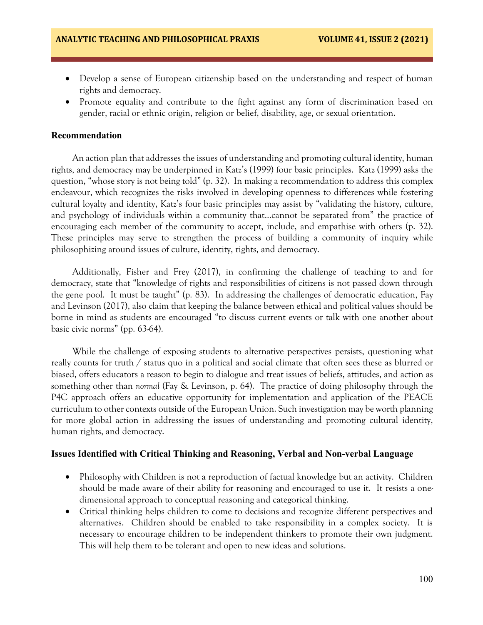- Develop a sense of European citizenship based on the understanding and respect of human rights and democracy.
- Promote equality and contribute to the fight against any form of discrimination based on gender, racial or ethnic origin, religion or belief, disability, age, or sexual orientation.

#### **Recommendation**

An action plan that addresses the issues of understanding and promoting cultural identity, human rights, and democracy may be underpinned in Katz's (1999) four basic principles. Katz (1999) asks the question, "whose story is not being told" (p. 32). In making a recommendation to address this complex endeavour, which recognizes the risks involved in developing openness to differences while fostering cultural loyalty and identity, Katz's four basic principles may assist by "validating the history, culture, and psychology of individuals within a community that…cannot be separated from" the practice of encouraging each member of the community to accept, include, and empathise with others (p. 32). These principles may serve to strengthen the process of building a community of inquiry while philosophizing around issues of culture, identity, rights, and democracy.

Additionally, Fisher and Frey (2017), in confirming the challenge of teaching to and for democracy, state that "knowledge of rights and responsibilities of citizens is not passed down through the gene pool. It must be taught" (p. 83).In addressing the challenges of democratic education, Fay and Levinson (2017), also claim that keeping the balance between ethical and political values should be borne in mind as students are encouraged "to discuss current events or talk with one another about basic civic norms" (pp. 63-64).

While the challenge of exposing students to alternative perspectives persists, questioning what really counts for truth / status quo in a political and social climate that often sees these as blurred or biased, offers educators a reason to begin to dialogue and treat issues of beliefs, attitudes, and action as something other than *normal* (Fay & Levinson, p. 64). The practice of doing philosophy through the P4C approach offers an educative opportunity for implementation and application of the PEACE curriculum to other contexts outside of the European Union. Such investigation may be worth planning for more global action in addressing the issues of understanding and promoting cultural identity, human rights, and democracy.

#### **Issues Identified with Critical Thinking and Reasoning, Verbal and Non-verbal Language**

- Philosophy with Children is not a reproduction of factual knowledge but an activity. Children should be made aware of their ability for reasoning and encouraged to use it. It resists a onedimensional approach to conceptual reasoning and categorical thinking.
- Critical thinking helps children to come to decisions and recognize different perspectives and alternatives. Children should be enabled to take responsibility in a complex society. It is necessary to encourage children to be independent thinkers to promote their own judgment. This will help them to be tolerant and open to new ideas and solutions.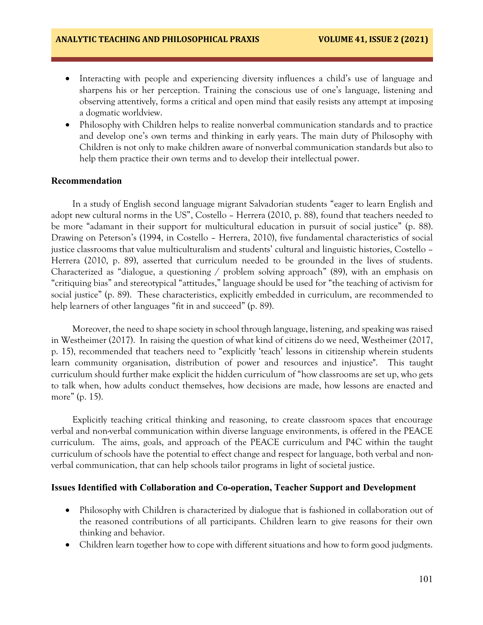- Interacting with people and experiencing diversity influences a child's use of language and sharpens his or her perception. Training the conscious use of one's language, listening and observing attentively, forms a critical and open mind that easily resists any attempt at imposing a dogmatic worldview.
- Philosophy with Children helps to realize nonverbal communication standards and to practice and develop one's own terms and thinking in early years. The main duty of Philosophy with Children is not only to make children aware of nonverbal communication standards but also to help them practice their own terms and to develop their intellectual power.

## **Recommendation**

In a study of English second language migrant Salvadorian students "eager to learn English and adopt new cultural norms in the US", Costello – Herrera (2010, p. 88), found that teachers needed to be more "adamant in their support for multicultural education in pursuit of social justice" (p. 88). Drawing on Peterson's (1994, in Costello – Herrera, 2010), five fundamental characteristics of social justice classrooms that value multiculturalism and students' cultural and linguistic histories, Costello – Herrera (2010, p. 89), asserted that curriculum needed to be grounded in the lives of students. Characterized as "dialogue, a questioning / problem solving approach" (89), with an emphasis on "critiquing bias" and stereotypical "attitudes," language should be used for "the teaching of activism for social justice" (p. 89). These characteristics, explicitly embedded in curriculum, are recommended to help learners of other languages "fit in and succeed" (p. 89).

Moreover, the need to shape society in school through language, listening, and speaking was raised in Westheimer (2017). In raising the question of what kind of citizens do we need, Westheimer (2017, p. 15), recommended that teachers need to "explicitly 'teach' lessons in citizenship wherein students learn community organisation, distribution of power and resources and injustice". This taught curriculum should further make explicit the hidden curriculum of "how classrooms are set up, who gets to talk when, how adults conduct themselves, how decisions are made, how lessons are enacted and more" (p. 15).

Explicitly teaching critical thinking and reasoning, to create classroom spaces that encourage verbal and non-verbal communication within diverse language environments, is offered in the PEACE curriculum. The aims, goals, and approach of the PEACE curriculum and P4C within the taught curriculum of schools have the potential to effect change and respect for language, both verbal and nonverbal communication, that can help schools tailor programs in light of societal justice.

#### **Issues Identified with Collaboration and Co-operation, Teacher Support and Development**

- Philosophy with Children is characterized by dialogue that is fashioned in collaboration out of the reasoned contributions of all participants. Children learn to give reasons for their own thinking and behavior.
- Children learn together how to cope with different situations and how to form good judgments.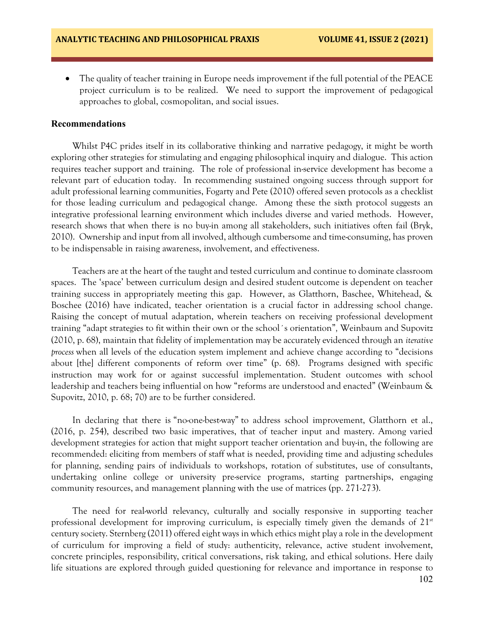• The quality of teacher training in Europe needs improvement if the full potential of the PEACE project curriculum is to be realized. We need to support the improvement of pedagogical approaches to global, cosmopolitan, and social issues.

#### **Recommendations**

Whilst P4C prides itself in its collaborative thinking and narrative pedagogy, it might be worth exploring other strategies for stimulating and engaging philosophical inquiry and dialogue. This action requires teacher support and training. The role of professional in-service development has become a relevant part of education today. In recommending sustained ongoing success through support for adult professional learning communities, Fogarty and Pete (2010) offered seven protocols as a checklist for those leading curriculum and pedagogical change. Among these the sixth protocol suggests an integrative professional learning environment which includes diverse and varied methods. However, research shows that when there is no buy-in among all stakeholders, such initiatives often fail (Bryk, 2010). Ownership and input from all involved, although cumbersome and time-consuming, has proven to be indispensable in raising awareness, involvement, and effectiveness.

Teachers are at the heart of the taught and tested curriculum and continue to dominate classroom spaces. The 'space' between curriculum design and desired student outcome is dependent on teacher training success in appropriately meeting this gap. However, as Glatthorn, Baschee, Whitehead, & Boschee (2016) have indicated, teacher orientation is a crucial factor in addressing school change. Raising the concept of mutual adaptation, wherein teachers on receiving professional development training "adapt strategies to fit within their own or the school´s orientation"*,* Weinbaum and Supovitz (2010, p. 68), maintain that fidelity of implementation may be accurately evidenced through an *iterative process* when all levels of the education system implement and achieve change according to "decisions about [the] different components of reform over time" (p. 68). Programs designed with specific instruction may work for or against successful implementation. Student outcomes with school leadership and teachers being influential on how "reforms are understood and enacted" (Weinbaum & Supovitz, 2010, p. 68; 70) are to be further considered.

In declaring that there is "no-one-best-way" to address school improvement, Glatthorn et al., (2016, p. 254), described two basic imperatives, that of teacher input and mastery. Among varied development strategies for action that might support teacher orientation and buy-in, the following are recommended: eliciting from members of staff what is needed, providing time and adjusting schedules for planning, sending pairs of individuals to workshops, rotation of substitutes, use of consultants, undertaking online college or university pre-service programs, starting partnerships, engaging community resources, and management planning with the use of matrices (pp. 271-273).

The need for real-world relevancy, culturally and socially responsive in supporting teacher professional development for improving curriculum, is especially timely given the demands of  $21<sup>st</sup>$ century society. Sternberg (2011) offered eight ways in which ethics might play a role in the development of curriculum for improving a field of study: authenticity, relevance, active student involvement, concrete principles, responsibility, critical conversations, risk taking, and ethical solutions. Here daily life situations are explored through guided questioning for relevance and importance in response to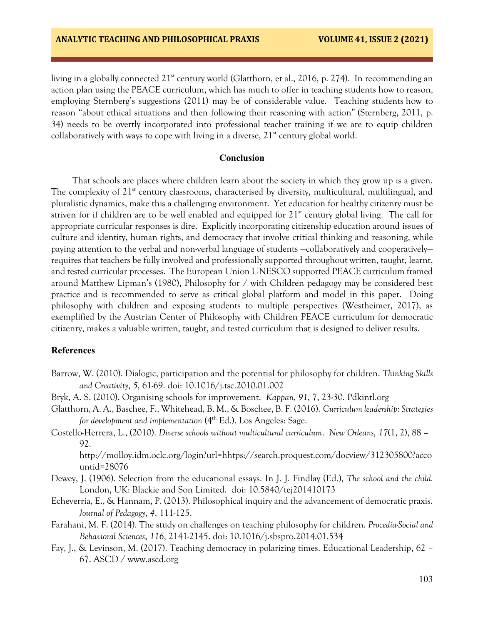living in a globally connected 21<sup>st</sup> century world (Glatthorn, et al., 2016, p. 274). In recommending an action plan using the PEACE curriculum, which has much to offer in teaching students how to reason, employing Sternberg's suggestions (2011) may be of considerable value. Teaching students how to reason "about ethical situations and then following their reasoning with action" (Sternberg, 2011, p. 34) needs to be overtly incorporated into professional teacher training if we are to equip children collaboratively with ways to cope with living in a diverse,  $21<sup>st</sup>$  century global world.

## **Conclusion**

That schools are places where children learn about the society in which they grow up is a given. The complexity of  $21<sup>st</sup>$  century classrooms, characterised by diversity, multicultural, multilingual, and pluralistic dynamics, make this a challenging environment. Yet education for healthy citizenry must be striven for if children are to be well enabled and equipped for  $21<sup>st</sup>$  century global living. The call for appropriate curricular responses is dire. Explicitly incorporating citizenship education around issues of culture and identity, human rights, and democracy that involve critical thinking and reasoning, while paying attention to the verbal and non-verbal language of students —collaboratively and cooperatively requires that teachers be fully involved and professionally supported throughout written, taught, learnt, and tested curricular processes. The European Union UNESCO supported PEACE curriculum framed around Matthew Lipman's (1980), Philosophy for / with Children pedagogy may be considered best practice and is recommended to serve as critical global platform and model in this paper. Doing philosophy with children and exposing students to multiple perspectives (Westheimer, 2017), as exemplified by the Austrian Center of Philosophy with Children PEACE curriculum for democratic citizenry, makes a valuable written, taught, and tested curriculum that is designed to deliver results.

## **References**

- Barrow, W. (2010). Dialogic, participation and the potential for philosophy for children. *Thinking Skills and Creativity*, *5*, 61-69. doi: 10.1016/j.tsc.2010.01.002
- Bryk, A. S. (2010). Organising schools for improvement. *Kappan*, *91*, 7, 23-30. Pdkintl.org
- Glatthorn, A. A., Baschee, F., Whitehead, B. M., & Boschee, B. F. (2016). *Curriculum leadership: Strategies for development and implementation* (4<sup>th</sup> Ed.). Los Angeles: Sage.
- Costello-Herrera, L., (2010). *Diverse schools without multicultural curriculum*. *New Orleans, 17*(1, 2), 88 92.

http://molloy.idm.oclc.org/login?url=hhtps://search.proquest.com/docview/312305800?acco untid=28076

- Dewey, J. (1906). Selection from the educational essays. In J. J. Findlay (Ed.), *The school and the child.*  London, UK: Blackie and Son Limited. doi: 10.5840/tej201410173
- Echeverria, E., & Hannam, P. (2013). Philosophical inquiry and the advancement of democratic praxis. *Journal of Pedagogy*, *4*, 111-125.
- Farahani, M. F. (2014). The study on challenges on teaching philosophy for children. *Procedia-Social and Behavioral Sciences*, *116*, 2141-2145. doi: 10.1016/j.sbspro.2014.01.534
- Fay, J., & Levinson, M. (2017). Teaching democracy in polarizing times. Educational Leadership, 62 67. ASCD / www.ascd.org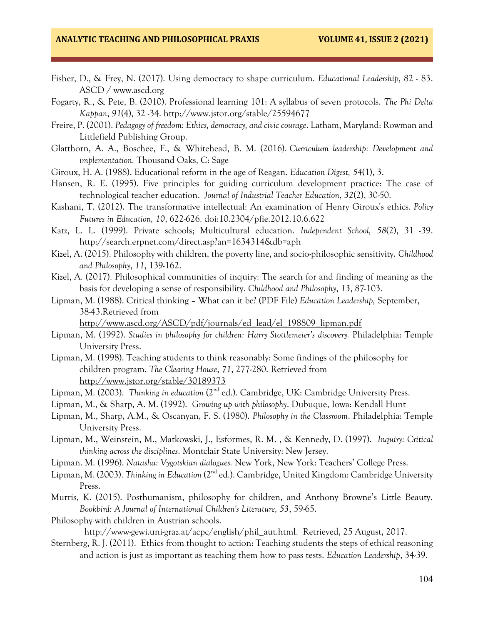- Fisher, D., & Frey, N. (2017). Using democracy to shape curriculum. *Educational Leadership*, 82 83. ASCD / www.ascd.org
- Fogarty, R., & Pete, B. (2010). Professional learning 101: A syllabus of seven protocols. *The Phi Delta Kappan*, *91*(4), 32 -34. http://www.jstor.org/stable/25594677
- Freire, P. (2001). *Pedagogy of freedom: Ethics, democracy, and civic courage*. Latham, Maryland: Rowman and Littlefield Publishing Group.
- Glatthorn, A. A., Boschee, F., & Whitehead, B. M. (2016). *Curriculum leadership: Development and implementation.* Thousand Oaks, C: Sage
- Giroux, H. A. (1988). Educational reform in the age of Reagan. *Education Digest, 54*(1), 3.
- Hansen, R. E. (1995). Five principles for guiding curriculum development practice: The case of technological teacher education. *Journal of Industrial Teacher Education*, *32*(2), 30-50.
- Kashani, T. (2012). The transformative intellectual: An examination of Henry Giroux's ethics. *Policy Futures in Education, 10*, 622-626. doi:10.2304/pfie.2012.10.6.622
- Katz, L. L. (1999). Private schools; Multicultural education. *Independent School, 58*(2), 31 -39. http://search.erpnet.com/direct.asp?an=1634314&db=aph
- Kizel, A. (2015). Philosophy with children, the poverty line, and socio-philosophic sensitivity. *Childhood and Philosophy*, *11*, 139-162.
- Kizel, A. (2017). Philosophical communities of inquiry: The search for and finding of meaning as the basis for developing a sense of responsibility. *Childhood and Philosophy*, *13*, 87-103.
- Lipman, M. (1988). Critical thinking What can it be? (PDF File) *Education Leadership,* September, 38-43.Retrieved from

[http://www.ascd.org/ASCD/pdf/journals/ed\\_lead/el\\_198809\\_lipman.pdf](http://www.ascd.org/ASCD/pdf/journals/ed_lead/el_198809_lipman.pdf)

- Lipman, M. (1992). *Studies in philosophy for children: Harry Stottlemeier's discovery.* Philadelphia: Temple University Press.
- Lipman, M. (1998). Teaching students to think reasonably: Some findings of the philosophy for children program. *The Clearing House*, *71*, 277-280. Retrieved from <http://www.jstor.org/stable/30189373>
- Lipman, M. (2003). *Thinking in education* (2<sup>nd</sup> ed.). Cambridge, UK: Cambridge University Press.
- Lipman, M., & Sharp, A. M. (1992). *Growing up with philosophy*. Dubuque, Iowa: Kendall Hunt
- Lipman, M., Sharp, A.M., & Oscanyan, F. S. (1980). *Philosophy in the Classroom*. Philadelphia: Temple University Press.
- Lipman, M., Weinstein, M., Matkowski, J., Esformes, R. M. , & Kennedy, D. (1997). *Inquiry: Critical thinking across the disciplines*. Montclair State University: New Jersey.
- Lipman. M. (1996). *Natasha: Vygotskian dialogues.* New York, New York: Teachers' College Press.
- Lipman, M. (2003). *Thinking in Education* (2<sup>nd</sup> ed.). Cambridge, United Kingdom: Cambridge University Press.
- Murris, K. (2015). Posthumanism, philosophy for children, and Anthony Browne's Little Beauty. *Bookbird: A Journal of International Children's Literature, 53*, 59-65.
- Philosophy with children in Austrian schools. [http://www-gewi.uni-graz.at/acpc/english/phil\\_aut.html.](http://www-gewi.uni-graz.at/acpc/english/phil_aut.html) Retrieved, 25 August, 2017.
- Sternberg, R. J. (2011). Ethics from thought to action: Teaching students the steps of ethical reasoning and action is just as important as teaching them how to pass tests. *Education Leadership*, 34-39.